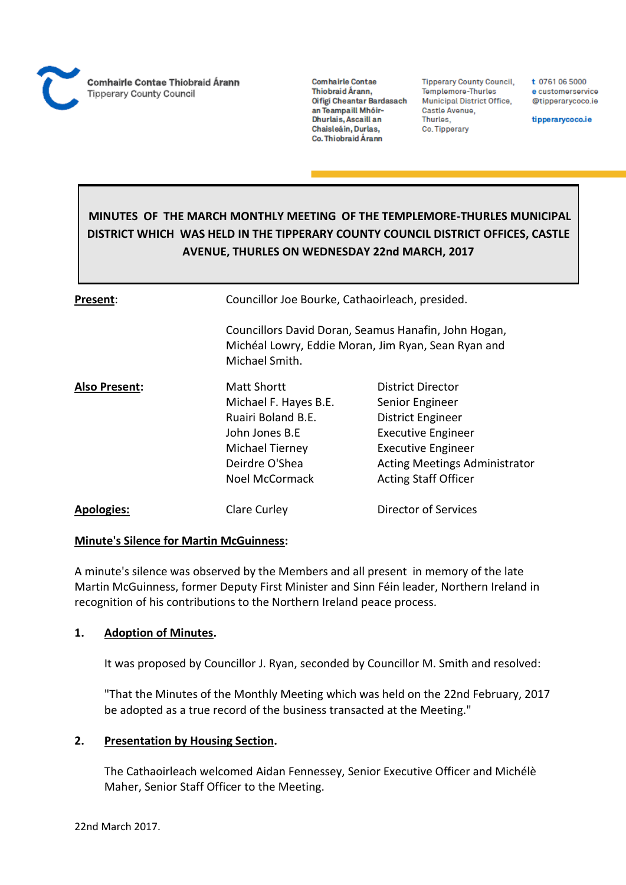**Comhairle Contae** Thiobraid Árann, Oifigi Cheantar Bardasach an Teampaill Mhóir-Dhurlais, Ascaill an Chaisleáin, Durlas, Co. Thiobraid Árann

**Tipperary County Council,** Templemore-Thurles Municipal District Office, Castle Avenue, Thurles, Co. Tipperary

t 0761 06 5000 e customerservice @tipperarycoco.ie

tipperarycoco.ie

# **MINUTES OF THE MARCH MONTHLY MEETING OF THE TEMPLEMORE-THURLES MUNICIPAL DISTRICT WHICH WAS HELD IN THE TIPPERARY COUNTY COUNCIL DISTRICT OFFICES, CASTLE AVENUE, THURLES ON WEDNESDAY 22nd MARCH, 2017**

| Present:             | Councillor Joe Bourke, Cathaoirleach, presided.                                                                                                   |                                                                                                                                                                                                   |  |  |
|----------------------|---------------------------------------------------------------------------------------------------------------------------------------------------|---------------------------------------------------------------------------------------------------------------------------------------------------------------------------------------------------|--|--|
|                      | Michael Smith.                                                                                                                                    | Councillors David Doran, Seamus Hanafin, John Hogan,<br>Michéal Lowry, Eddie Moran, Jim Ryan, Sean Ryan and                                                                                       |  |  |
| <b>Also Present:</b> | Matt Shortt<br>Michael F. Hayes B.E.<br>Ruairi Boland B.E.<br>John Jones B.E<br><b>Michael Tierney</b><br>Deirdre O'Shea<br><b>Noel McCormack</b> | District Director<br>Senior Engineer<br><b>District Engineer</b><br><b>Executive Engineer</b><br><b>Executive Engineer</b><br><b>Acting Meetings Administrator</b><br><b>Acting Staff Officer</b> |  |  |
| <b>Apologies:</b>    | <b>Clare Curley</b>                                                                                                                               | Director of Services                                                                                                                                                                              |  |  |

#### **Minute's Silence for Martin McGuinness:**

A minute's silence was observed by the Members and all present in memory of the late Martin McGuinness, former Deputy First Minister and Sinn Féin leader, Northern Ireland in recognition of his contributions to the Northern Ireland peace process.

#### **1. Adoption of Minutes.**

It was proposed by Councillor J. Ryan, seconded by Councillor M. Smith and resolved:

"That the Minutes of the Monthly Meeting which was held on the 22nd February, 2017 be adopted as a true record of the business transacted at the Meeting."

#### **2. Presentation by Housing Section.**

The Cathaoirleach welcomed Aidan Fennessey, Senior Executive Officer and Michélè Maher, Senior Staff Officer to the Meeting.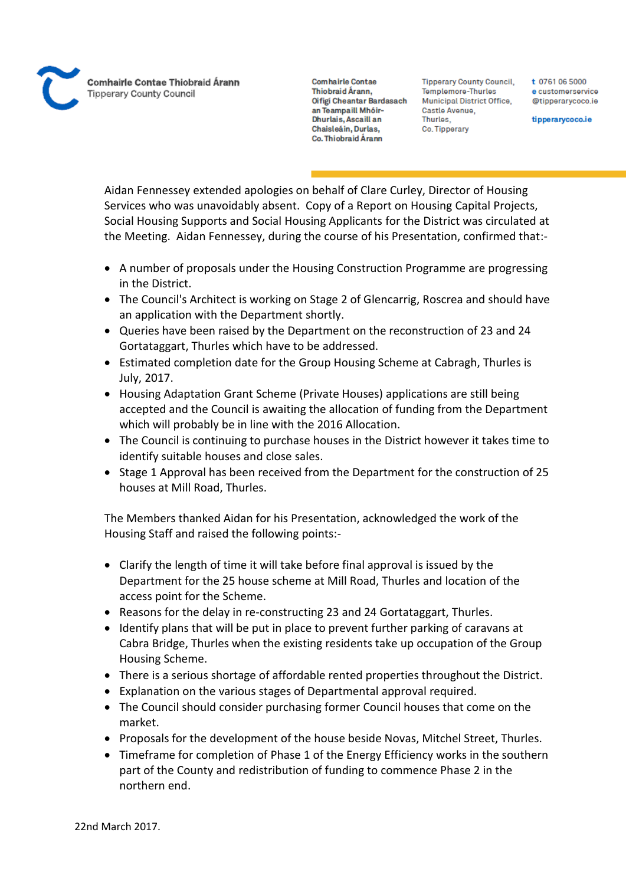**Comhairle Contae** Thiobraid Árann. Oifigi Cheantar Bardasach an Teampaill Mhóir-Dhurlais, Ascaill an Chaisleáin, Durlas, Co. Thiobraid Árann

**Tipperary County Council,** Templemore-Thurles Municipal District Office, Castle Avenue, Thurles. Co. Tipperary

t 0761 06 5000 e customerservice @tipperarycoco.ie

tipperarycoco.ie

Aidan Fennessey extended apologies on behalf of Clare Curley, Director of Housing Services who was unavoidably absent. Copy of a Report on Housing Capital Projects, Social Housing Supports and Social Housing Applicants for the District was circulated at the Meeting. Aidan Fennessey, during the course of his Presentation, confirmed that:-

- A number of proposals under the Housing Construction Programme are progressing in the District.
- The Council's Architect is working on Stage 2 of Glencarrig, Roscrea and should have an application with the Department shortly.
- Queries have been raised by the Department on the reconstruction of 23 and 24 Gortataggart, Thurles which have to be addressed.
- Estimated completion date for the Group Housing Scheme at Cabragh, Thurles is July, 2017.
- Housing Adaptation Grant Scheme (Private Houses) applications are still being accepted and the Council is awaiting the allocation of funding from the Department which will probably be in line with the 2016 Allocation.
- The Council is continuing to purchase houses in the District however it takes time to identify suitable houses and close sales.
- Stage 1 Approval has been received from the Department for the construction of 25 houses at Mill Road, Thurles.

The Members thanked Aidan for his Presentation, acknowledged the work of the Housing Staff and raised the following points:-

- Clarify the length of time it will take before final approval is issued by the Department for the 25 house scheme at Mill Road, Thurles and location of the access point for the Scheme.
- Reasons for the delay in re-constructing 23 and 24 Gortataggart, Thurles.
- Identify plans that will be put in place to prevent further parking of caravans at Cabra Bridge, Thurles when the existing residents take up occupation of the Group Housing Scheme.
- There is a serious shortage of affordable rented properties throughout the District.
- Explanation on the various stages of Departmental approval required.
- The Council should consider purchasing former Council houses that come on the market.
- Proposals for the development of the house beside Novas, Mitchel Street, Thurles.
- Timeframe for completion of Phase 1 of the Energy Efficiency works in the southern part of the County and redistribution of funding to commence Phase 2 in the northern end.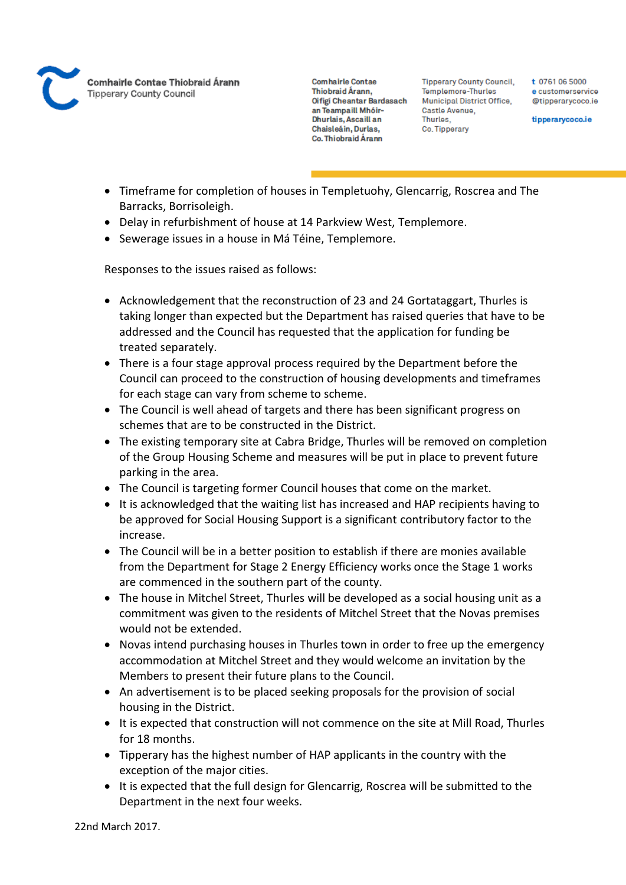

**Tipperary County Council,** Templemore-Thurles Municipal District Office, Castle Avenue, Thurles. Co. Tipperary

t 0761 06 5000 e customerservice @tipperarycoco.ie

tipperarycoco.ie

- Timeframe for completion of houses in Templetuohy, Glencarrig, Roscrea and The Barracks, Borrisoleigh.
- Delay in refurbishment of house at 14 Parkview West, Templemore.
- Sewerage issues in a house in Má Téine, Templemore.

Responses to the issues raised as follows:

- Acknowledgement that the reconstruction of 23 and 24 Gortataggart, Thurles is taking longer than expected but the Department has raised queries that have to be addressed and the Council has requested that the application for funding be treated separately.
- There is a four stage approval process required by the Department before the Council can proceed to the construction of housing developments and timeframes for each stage can vary from scheme to scheme.
- The Council is well ahead of targets and there has been significant progress on schemes that are to be constructed in the District.
- The existing temporary site at Cabra Bridge, Thurles will be removed on completion of the Group Housing Scheme and measures will be put in place to prevent future parking in the area.
- The Council is targeting former Council houses that come on the market.
- It is acknowledged that the waiting list has increased and HAP recipients having to be approved for Social Housing Support is a significant contributory factor to the increase.
- The Council will be in a better position to establish if there are monies available from the Department for Stage 2 Energy Efficiency works once the Stage 1 works are commenced in the southern part of the county.
- The house in Mitchel Street, Thurles will be developed as a social housing unit as a commitment was given to the residents of Mitchel Street that the Novas premises would not be extended.
- Novas intend purchasing houses in Thurles town in order to free up the emergency accommodation at Mitchel Street and they would welcome an invitation by the Members to present their future plans to the Council.
- An advertisement is to be placed seeking proposals for the provision of social housing in the District.
- It is expected that construction will not commence on the site at Mill Road, Thurles for 18 months.
- Tipperary has the highest number of HAP applicants in the country with the exception of the major cities.
- It is expected that the full design for Glencarrig, Roscrea will be submitted to the Department in the next four weeks.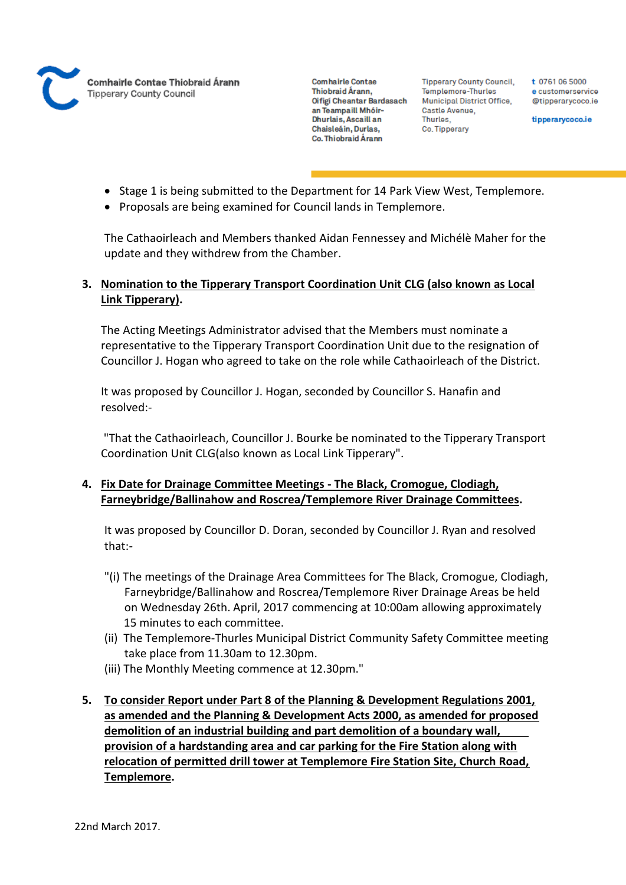

**Tipperary County Council,** Templemore-Thurles Municipal District Office, Castle Avenue, Thurles. Co. Tipperary

t 0761 06 5000 e customerservice @tipperarycoco.ie

tipperarycoco.ie

- Stage 1 is being submitted to the Department for 14 Park View West, Templemore.
- Proposals are being examined for Council lands in Templemore.

The Cathaoirleach and Members thanked Aidan Fennessey and Michélè Maher for the update and they withdrew from the Chamber.

# **3. Nomination to the Tipperary Transport Coordination Unit CLG (also known as Local Link Tipperary).**

The Acting Meetings Administrator advised that the Members must nominate a representative to the Tipperary Transport Coordination Unit due to the resignation of Councillor J. Hogan who agreed to take on the role while Cathaoirleach of the District.

It was proposed by Councillor J. Hogan, seconded by Councillor S. Hanafin and resolved:-

"That the Cathaoirleach, Councillor J. Bourke be nominated to the Tipperary Transport Coordination Unit CLG(also known as Local Link Tipperary".

# **4. Fix Date for Drainage Committee Meetings - The Black, Cromogue, Clodiagh, Farneybridge/Ballinahow and Roscrea/Templemore River Drainage Committees.**

It was proposed by Councillor D. Doran, seconded by Councillor J. Ryan and resolved that:-

- "(i) The meetings of the Drainage Area Committees for The Black, Cromogue, Clodiagh, Farneybridge/Ballinahow and Roscrea/Templemore River Drainage Areas be held on Wednesday 26th. April, 2017 commencing at 10:00am allowing approximately 15 minutes to each committee.
- (ii) The Templemore-Thurles Municipal District Community Safety Committee meeting take place from 11.30am to 12.30pm.
- (iii) The Monthly Meeting commence at 12.30pm."
- **5. To consider Report under Part 8 of the Planning & Development Regulations 2001, as amended and the Planning & Development Acts 2000, as amended for proposed demolition of an industrial building and part demolition of a boundary wall, provision of a hardstanding area and car parking for the Fire Station along with relocation of permitted drill tower at Templemore Fire Station Site, Church Road, Templemore.**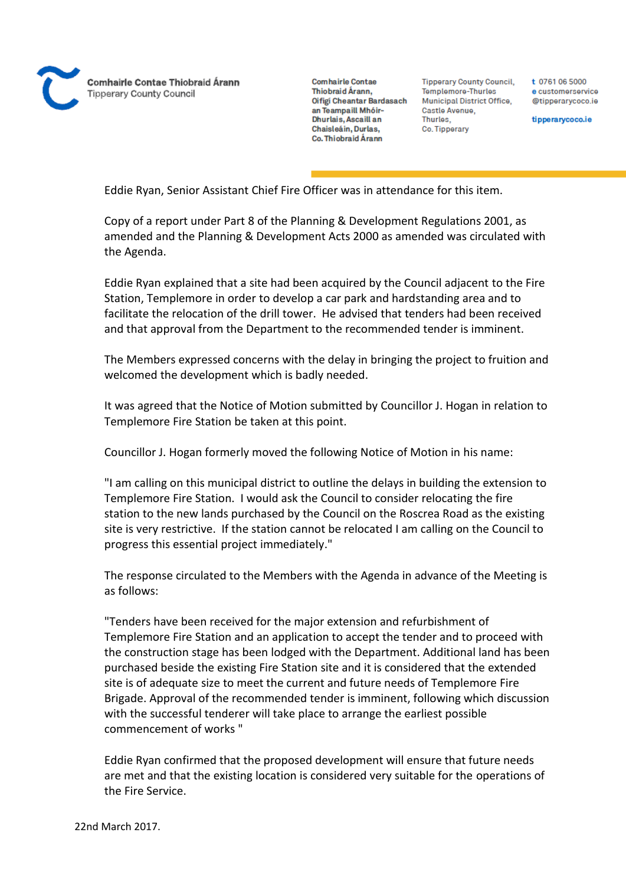

**Tipperary County Council,** Templemore-Thurles **Municipal District Office,** Castle Avenue, Thurles. Co. Tipperary

t 0761 06 5000 e customerservice @tipperarycoco.ie

tipperarycoco.ie

Eddie Ryan, Senior Assistant Chief Fire Officer was in attendance for this item.

Copy of a report under Part 8 of the Planning & Development Regulations 2001, as amended and the Planning & Development Acts 2000 as amended was circulated with the Agenda.

Eddie Ryan explained that a site had been acquired by the Council adjacent to the Fire Station, Templemore in order to develop a car park and hardstanding area and to facilitate the relocation of the drill tower. He advised that tenders had been received and that approval from the Department to the recommended tender is imminent.

The Members expressed concerns with the delay in bringing the project to fruition and welcomed the development which is badly needed.

It was agreed that the Notice of Motion submitted by Councillor J. Hogan in relation to Templemore Fire Station be taken at this point.

Councillor J. Hogan formerly moved the following Notice of Motion in his name:

"I am calling on this municipal district to outline the delays in building the extension to Templemore Fire Station. I would ask the Council to consider relocating the fire station to the new lands purchased by the Council on the Roscrea Road as the existing site is very restrictive. If the station cannot be relocated I am calling on the Council to progress this essential project immediately."

The response circulated to the Members with the Agenda in advance of the Meeting is as follows:

"Tenders have been received for the major extension and refurbishment of Templemore Fire Station and an application to accept the tender and to proceed with the construction stage has been lodged with the Department. Additional land has been purchased beside the existing Fire Station site and it is considered that the extended site is of adequate size to meet the current and future needs of Templemore Fire Brigade. Approval of the recommended tender is imminent, following which discussion with the successful tenderer will take place to arrange the earliest possible commencement of works "

Eddie Ryan confirmed that the proposed development will ensure that future needs are met and that the existing location is considered very suitable for the operations of the Fire Service.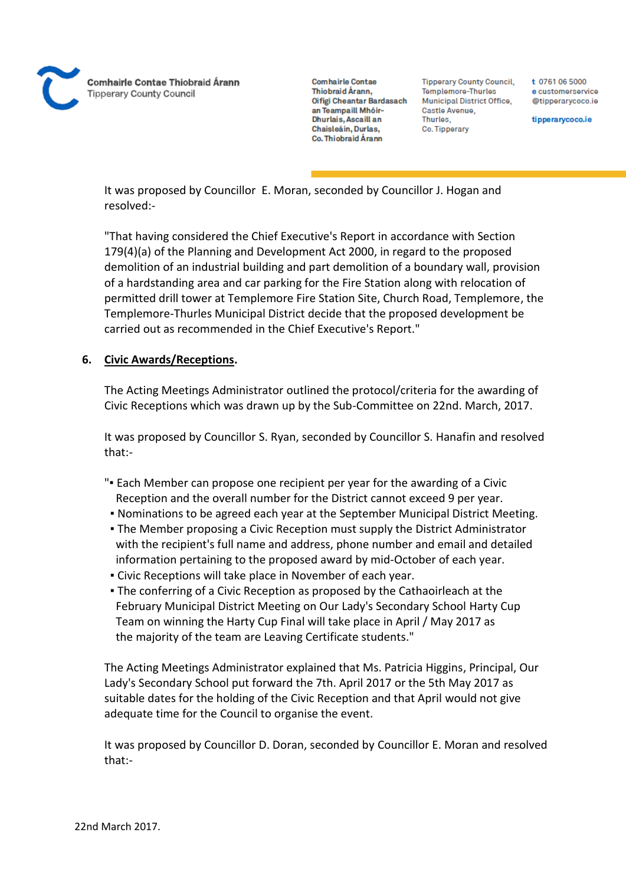

**Tipperary County Council,** Templemore-Thurles Municipal District Office, Castle Avenue, Thurles. Co. Tipperary

t 0761 06 5000 e customerservice @tipperarvcoco.ie

tipperarycoco.ie

It was proposed by Councillor E. Moran, seconded by Councillor J. Hogan and resolved:-

"That having considered the Chief Executive's Report in accordance with Section 179(4)(a) of the Planning and Development Act 2000, in regard to the proposed demolition of an industrial building and part demolition of a boundary wall, provision of a hardstanding area and car parking for the Fire Station along with relocation of permitted drill tower at Templemore Fire Station Site, Church Road, Templemore, the Templemore-Thurles Municipal District decide that the proposed development be carried out as recommended in the Chief Executive's Report."

## **6. Civic Awards/Receptions.**

The Acting Meetings Administrator outlined the protocol/criteria for the awarding of Civic Receptions which was drawn up by the Sub-Committee on 22nd. March, 2017.

It was proposed by Councillor S. Ryan, seconded by Councillor S. Hanafin and resolved that:-

- "▪ Each Member can propose one recipient per year for the awarding of a Civic Reception and the overall number for the District cannot exceed 9 per year.
- Nominations to be agreed each year at the September Municipal District Meeting.
- The Member proposing a Civic Reception must supply the District Administrator with the recipient's full name and address, phone number and email and detailed information pertaining to the proposed award by mid-October of each year.
- Civic Receptions will take place in November of each year.
- The conferring of a Civic Reception as proposed by the Cathaoirleach at the February Municipal District Meeting on Our Lady's Secondary School Harty Cup Team on winning the Harty Cup Final will take place in April / May 2017 as the majority of the team are Leaving Certificate students."

The Acting Meetings Administrator explained that Ms. Patricia Higgins, Principal, Our Lady's Secondary School put forward the 7th. April 2017 or the 5th May 2017 as suitable dates for the holding of the Civic Reception and that April would not give adequate time for the Council to organise the event.

It was proposed by Councillor D. Doran, seconded by Councillor E. Moran and resolved that:-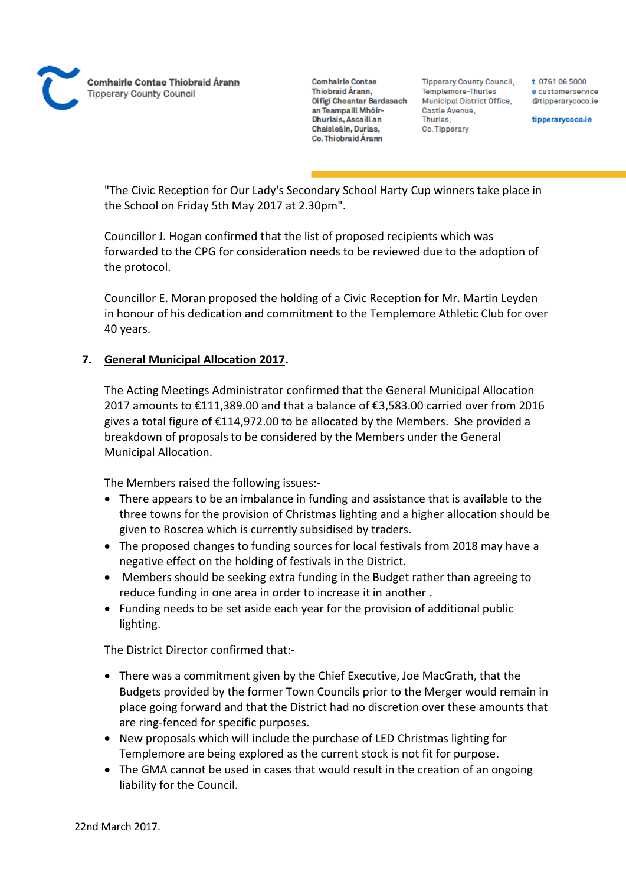**Comhairle Contae** Thiobraid Árann. Oifigi Cheantar Bardasach an Teampaill Mhóir-Dhurlais, Ascaill an Chaisleáin, Durlas, Co. Thiobraid Árann

**Tipperary County Council,** Templemore-Thurles Municipal District Office, Castle Avenue, Thurles. Co. Tipperary

t 0761 06 5000 e customerservice @tipperarvcoco.ie

tipperarycoco.ie

"The Civic Reception for Our Lady's Secondary School Harty Cup winners take place in the School on Friday 5th May 2017 at 2.30pm".

Councillor J. Hogan confirmed that the list of proposed recipients which was forwarded to the CPG for consideration needs to be reviewed due to the adoption of the protocol.

Councillor E. Moran proposed the holding of a Civic Reception for Mr. Martin Leyden in honour of his dedication and commitment to the Templemore Athletic Club for over 40 years.

## **7. General Municipal Allocation 2017.**

The Acting Meetings Administrator confirmed that the General Municipal Allocation 2017 amounts to €111,389.00 and that a balance of €3,583.00 carried over from 2016 gives a total figure of €114,972.00 to be allocated by the Members. She provided a breakdown of proposals to be considered by the Members under the General Municipal Allocation.

The Members raised the following issues:-

- There appears to be an imbalance in funding and assistance that is available to the three towns for the provision of Christmas lighting and a higher allocation should be given to Roscrea which is currently subsidised by traders.
- The proposed changes to funding sources for local festivals from 2018 may have a negative effect on the holding of festivals in the District.
- Members should be seeking extra funding in the Budget rather than agreeing to reduce funding in one area in order to increase it in another .
- Funding needs to be set aside each year for the provision of additional public lighting.

The District Director confirmed that:-

- There was a commitment given by the Chief Executive, Joe MacGrath, that the Budgets provided by the former Town Councils prior to the Merger would remain in place going forward and that the District had no discretion over these amounts that are ring-fenced for specific purposes.
- New proposals which will include the purchase of LED Christmas lighting for Templemore are being explored as the current stock is not fit for purpose.
- The GMA cannot be used in cases that would result in the creation of an ongoing liability for the Council.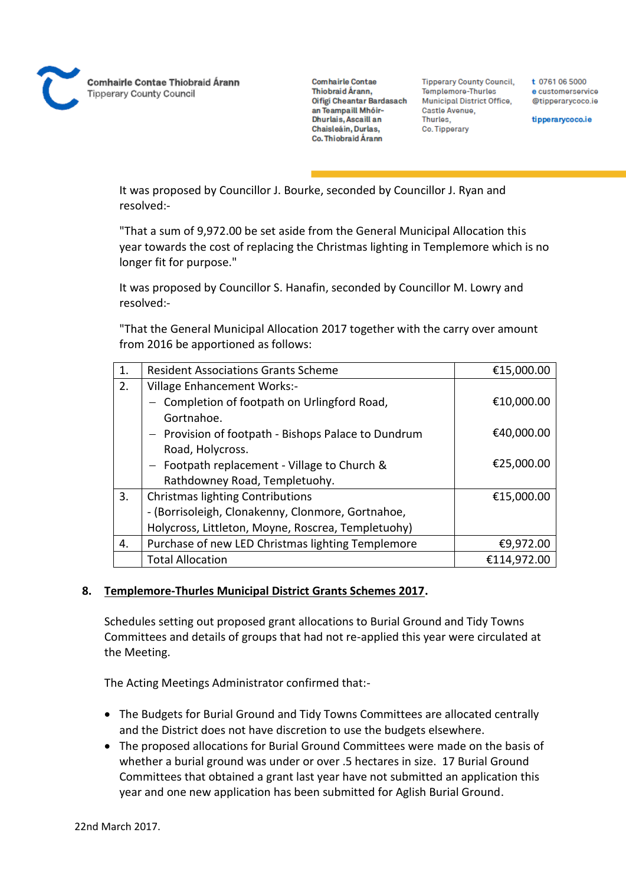

**Tipperary County Council,** Templemore-Thurles Municipal District Office, Castle Avenue, Thurles. Co. Tipperary

t 0761 06 5000 e customerservice @tipperarycoco.ie

tipperarycoco.ie

It was proposed by Councillor J. Bourke, seconded by Councillor J. Ryan and resolved:-

"That a sum of 9,972.00 be set aside from the General Municipal Allocation this year towards the cost of replacing the Christmas lighting in Templemore which is no longer fit for purpose."

It was proposed by Councillor S. Hanafin, seconded by Councillor M. Lowry and resolved:-

"That the General Municipal Allocation 2017 together with the carry over amount from 2016 be apportioned as follows:

| 1. | <b>Resident Associations Grants Scheme</b>          | €15,000.00  |
|----|-----------------------------------------------------|-------------|
| 2. | <b>Village Enhancement Works:-</b>                  |             |
|    | Completion of footpath on Urlingford Road,          | €10,000.00  |
|    | Gortnahoe.                                          |             |
|    | - Provision of footpath - Bishops Palace to Dundrum | €40,000.00  |
|    | Road, Holycross.                                    |             |
|    | $-$ Footpath replacement - Village to Church &      | €25,000.00  |
|    | Rathdowney Road, Templetuohy.                       |             |
| 3. | <b>Christmas lighting Contributions</b>             | €15,000.00  |
|    | - (Borrisoleigh, Clonakenny, Clonmore, Gortnahoe,   |             |
|    | Holycross, Littleton, Moyne, Roscrea, Templetuohy)  |             |
| 4. | Purchase of new LED Christmas lighting Templemore   | €9,972.00   |
|    | <b>Total Allocation</b>                             | €114,972.00 |

#### **8. Templemore-Thurles Municipal District Grants Schemes 2017.**

Schedules setting out proposed grant allocations to Burial Ground and Tidy Towns Committees and details of groups that had not re-applied this year were circulated at the Meeting.

The Acting Meetings Administrator confirmed that:-

- The Budgets for Burial Ground and Tidy Towns Committees are allocated centrally and the District does not have discretion to use the budgets elsewhere.
- The proposed allocations for Burial Ground Committees were made on the basis of whether a burial ground was under or over .5 hectares in size. 17 Burial Ground Committees that obtained a grant last year have not submitted an application this year and one new application has been submitted for Aglish Burial Ground.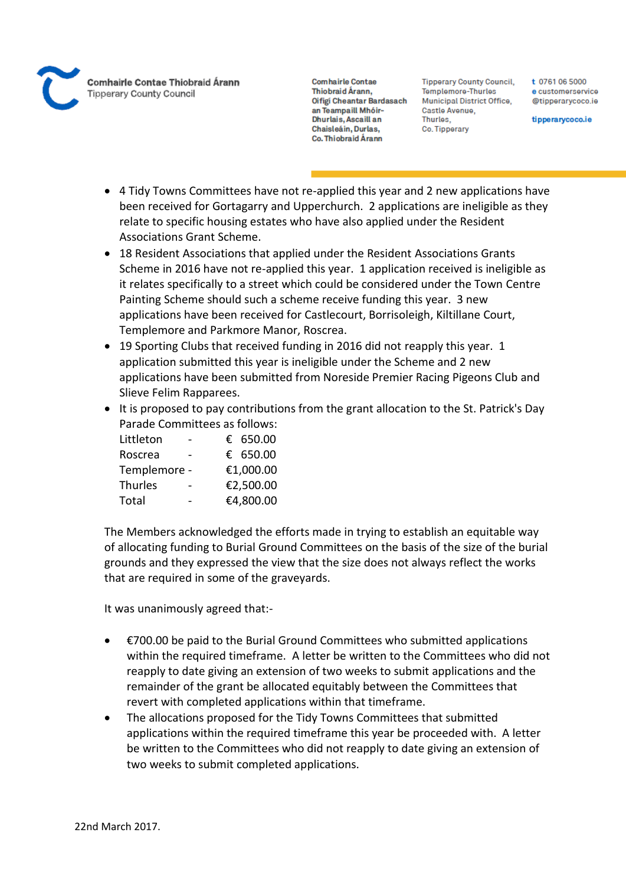

**Tipperary County Council,** Templemore-Thurles Municipal District Office, Castle Avenue, Thurles. Co. Tipperary

t 0761 06 5000 e customerservice @tipperarycoco.ie

tipperarycoco.ie

- 4 Tidy Towns Committees have not re-applied this year and 2 new applications have been received for Gortagarry and Upperchurch. 2 applications are ineligible as they relate to specific housing estates who have also applied under the Resident Associations Grant Scheme.
- 18 Resident Associations that applied under the Resident Associations Grants Scheme in 2016 have not re-applied this year. 1 application received is ineligible as it relates specifically to a street which could be considered under the Town Centre Painting Scheme should such a scheme receive funding this year. 3 new applications have been received for Castlecourt, Borrisoleigh, Kiltillane Court, Templemore and Parkmore Manor, Roscrea.
- 19 Sporting Clubs that received funding in 2016 did not reapply this year. 1 application submitted this year is ineligible under the Scheme and 2 new applications have been submitted from Noreside Premier Racing Pigeons Club and Slieve Felim Rapparees.
- It is proposed to pay contributions from the grant allocation to the St. Patrick's Day Parade Committees as follows:

| Littleton    |  | € 650.00  |
|--------------|--|-----------|
| Roscrea      |  | € 650.00  |
| Templemore - |  | €1,000.00 |
| Thurles      |  | €2,500.00 |
| Total        |  | €4,800.00 |

The Members acknowledged the efforts made in trying to establish an equitable way of allocating funding to Burial Ground Committees on the basis of the size of the burial grounds and they expressed the view that the size does not always reflect the works that are required in some of the graveyards.

It was unanimously agreed that:-

- €700.00 be paid to the Burial Ground Committees who submitted applications within the required timeframe. A letter be written to the Committees who did not reapply to date giving an extension of two weeks to submit applications and the remainder of the grant be allocated equitably between the Committees that revert with completed applications within that timeframe.
- The allocations proposed for the Tidy Towns Committees that submitted applications within the required timeframe this year be proceeded with. A letter be written to the Committees who did not reapply to date giving an extension of two weeks to submit completed applications.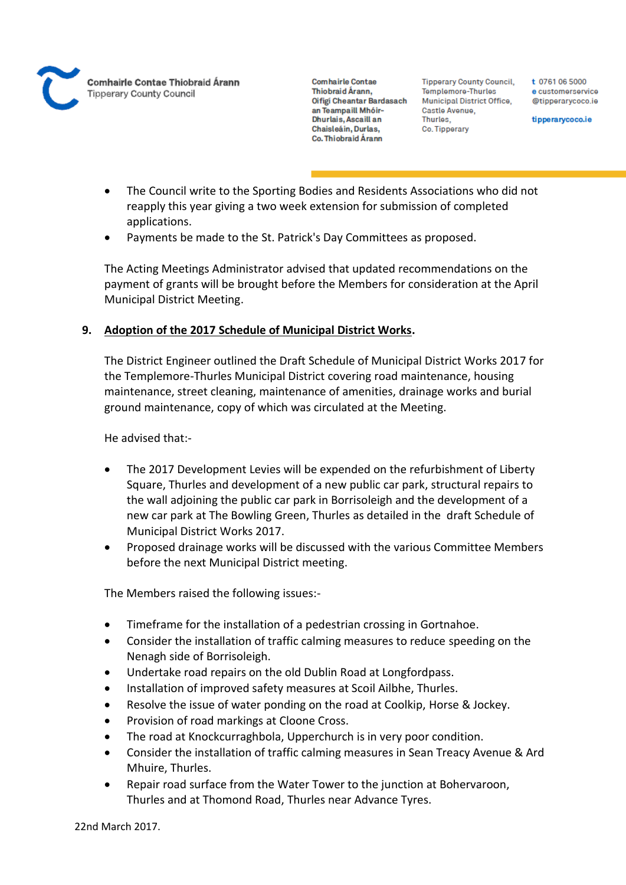

**Tipperary County Council,** Templemore-Thurles Municipal District Office, Castle Avenue, Thurles. Co. Tipperary

t 0761 06 5000 e customerservice @tipperarvcoco.ie

tipperarycoco.ie

- The Council write to the Sporting Bodies and Residents Associations who did not reapply this year giving a two week extension for submission of completed applications.
- Payments be made to the St. Patrick's Day Committees as proposed.

The Acting Meetings Administrator advised that updated recommendations on the payment of grants will be brought before the Members for consideration at the April Municipal District Meeting.

# **9. Adoption of the 2017 Schedule of Municipal District Works.**

The District Engineer outlined the Draft Schedule of Municipal District Works 2017 for the Templemore-Thurles Municipal District covering road maintenance, housing maintenance, street cleaning, maintenance of amenities, drainage works and burial ground maintenance, copy of which was circulated at the Meeting.

He advised that:-

- The 2017 Development Levies will be expended on the refurbishment of Liberty Square, Thurles and development of a new public car park, structural repairs to the wall adjoining the public car park in Borrisoleigh and the development of a new car park at The Bowling Green, Thurles as detailed in the draft Schedule of Municipal District Works 2017.
- Proposed drainage works will be discussed with the various Committee Members before the next Municipal District meeting.

The Members raised the following issues:-

- Timeframe for the installation of a pedestrian crossing in Gortnahoe.
- Consider the installation of traffic calming measures to reduce speeding on the Nenagh side of Borrisoleigh.
- Undertake road repairs on the old Dublin Road at Longfordpass.
- Installation of improved safety measures at Scoil Ailbhe, Thurles.
- Resolve the issue of water ponding on the road at Coolkip, Horse & Jockey.
- Provision of road markings at Cloone Cross.
- The road at Knockcurraghbola, Upperchurch is in very poor condition.
- Consider the installation of traffic calming measures in Sean Treacy Avenue & Ard Mhuire, Thurles.
- Repair road surface from the Water Tower to the junction at Bohervaroon, Thurles and at Thomond Road, Thurles near Advance Tyres.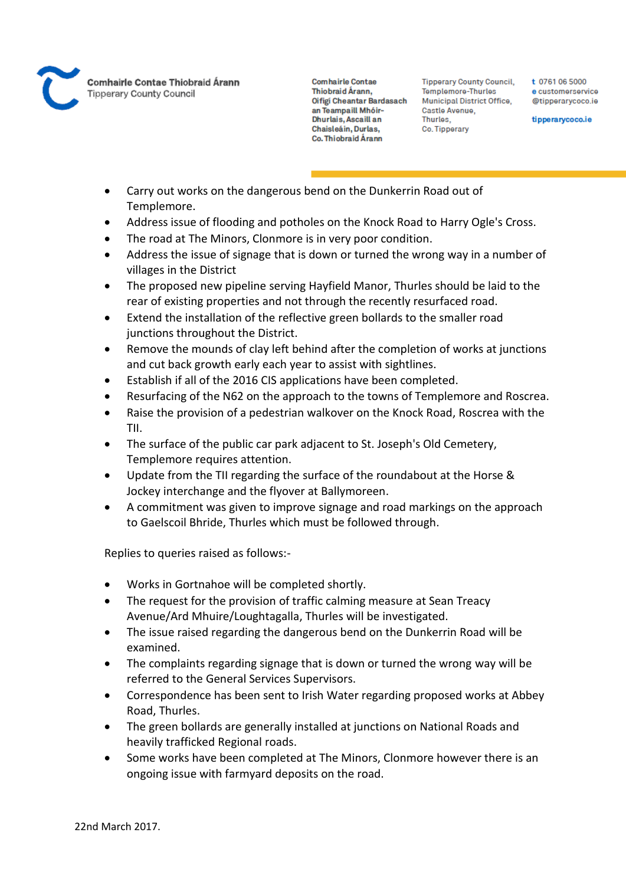

**Tipperary County Council,** Templemore-Thurles Municipal District Office, Castle Avenue, Thurles. Co. Tipperary

t 0761 06 5000 e customerservice @tipperarycoco.ie

tipperarycoco.ie

- Carry out works on the dangerous bend on the Dunkerrin Road out of Templemore.
- Address issue of flooding and potholes on the Knock Road to Harry Ogle's Cross.
- The road at The Minors, Clonmore is in very poor condition.
- Address the issue of signage that is down or turned the wrong way in a number of villages in the District
- The proposed new pipeline serving Hayfield Manor, Thurles should be laid to the rear of existing properties and not through the recently resurfaced road.
- Extend the installation of the reflective green bollards to the smaller road junctions throughout the District.
- Remove the mounds of clay left behind after the completion of works at junctions and cut back growth early each year to assist with sightlines.
- Establish if all of the 2016 CIS applications have been completed.
- Resurfacing of the N62 on the approach to the towns of Templemore and Roscrea.
- Raise the provision of a pedestrian walkover on the Knock Road, Roscrea with the TII.
- The surface of the public car park adjacent to St. Joseph's Old Cemetery, Templemore requires attention.
- Update from the TII regarding the surface of the roundabout at the Horse & Jockey interchange and the flyover at Ballymoreen.
- A commitment was given to improve signage and road markings on the approach to Gaelscoil Bhride, Thurles which must be followed through.

Replies to queries raised as follows:-

- Works in Gortnahoe will be completed shortly.
- The request for the provision of traffic calming measure at Sean Treacy Avenue/Ard Mhuire/Loughtagalla, Thurles will be investigated.
- The issue raised regarding the dangerous bend on the Dunkerrin Road will be examined.
- The complaints regarding signage that is down or turned the wrong way will be referred to the General Services Supervisors.
- Correspondence has been sent to Irish Water regarding proposed works at Abbey Road, Thurles.
- The green bollards are generally installed at junctions on National Roads and heavily trafficked Regional roads.
- Some works have been completed at The Minors, Clonmore however there is an ongoing issue with farmyard deposits on the road.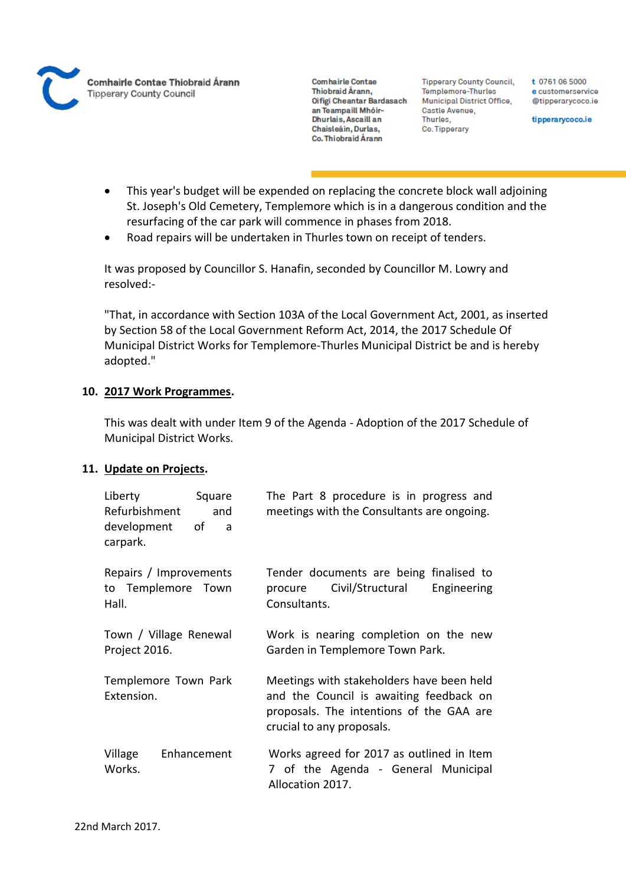

**Tipperary County Council,** Templemore-Thurles Municipal District Office, Castle Avenue, Thurles, Co. Tipperary

t 0761 06 5000 e customerservice @tipperarycoco.ie

tipperarycoco.ie

- This year's budget will be expended on replacing the concrete block wall adjoining St. Joseph's Old Cemetery, Templemore which is in a dangerous condition and the resurfacing of the car park will commence in phases from 2018.
- Road repairs will be undertaken in Thurles town on receipt of tenders.

It was proposed by Councillor S. Hanafin, seconded by Councillor M. Lowry and resolved:-

"That, in accordance with Section 103A of the Local Government Act, 2001, as inserted by Section 58 of the Local Government Reform Act, 2014, the 2017 Schedule Of Municipal District Works for Templemore-Thurles Municipal District be and is hereby adopted."

## **10. 2017 Work Programmes.**

This was dealt with under Item 9 of the Agenda - Adoption of the 2017 Schedule of Municipal District Works.

#### **11. Update on Projects.**

| Liberty<br>Square<br>Refurbishment<br>and<br>development<br>of a<br>carpark. | The Part 8 procedure is in progress and<br>meetings with the Consultants are ongoing.                                                                         |
|------------------------------------------------------------------------------|---------------------------------------------------------------------------------------------------------------------------------------------------------------|
| Repairs / Improvements<br>to Templemore Town<br>Hall.                        | Tender documents are being finalised to<br>Civil/Structural<br>Engineering<br>procure<br>Consultants.                                                         |
| Town / Village Renewal<br>Project 2016.                                      | Work is nearing completion on the new<br>Garden in Templemore Town Park.                                                                                      |
| Templemore Town Park<br>Extension.                                           | Meetings with stakeholders have been held<br>and the Council is awaiting feedback on<br>proposals. The intentions of the GAA are<br>crucial to any proposals. |
| Village<br>Enhancement<br>Works.                                             | Works agreed for 2017 as outlined in Item<br>7 of the Agenda - General Municipal<br>Allocation 2017.                                                          |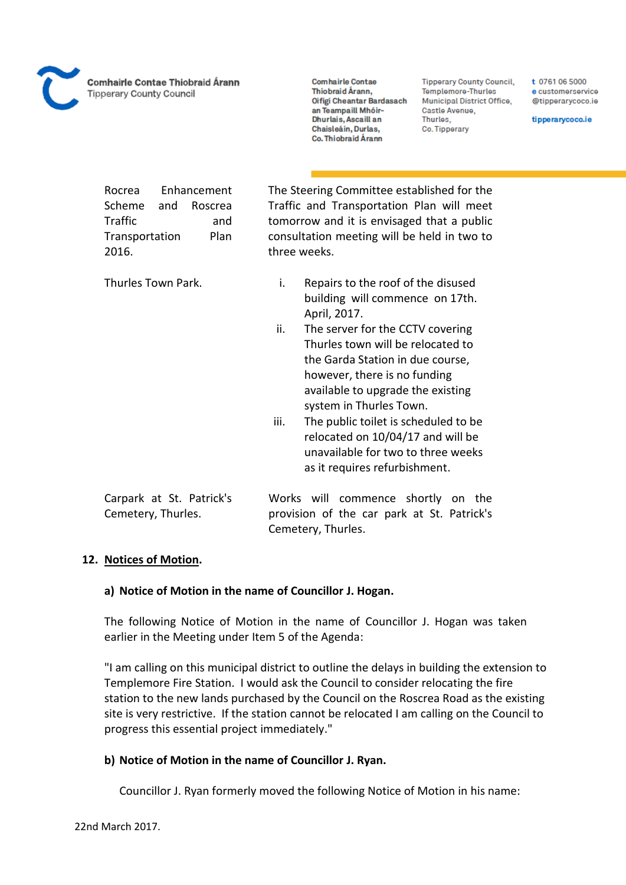**Comhairle Contae** Thiobraid Árann, Oifigi Cheantar Bardasach an Teampaill Mhóir-Dhurlais, Ascaill an Chaisleáin, Durlas, Co. Thiobraid Árann

**Tipperary County Council,** Templemore-Thurles Municipal District Office, Castle Avenue, Thurles, Co. Tipperary

t 0761 06 5000 e customerservice @tipperarycoco.ie

tipperarycoco.ie

| Enhancement<br>Rocrea<br>Scheme<br>and<br>Roscrea<br>Traffic<br>and<br>Plan<br>Transportation<br>2016. | The Steering Committee established for the<br>Traffic and Transportation Plan will meet<br>tomorrow and it is envisaged that a public<br>consultation meeting will be held in two to<br>three weeks.                                                                                                                                                                                                                                                                        |
|--------------------------------------------------------------------------------------------------------|-----------------------------------------------------------------------------------------------------------------------------------------------------------------------------------------------------------------------------------------------------------------------------------------------------------------------------------------------------------------------------------------------------------------------------------------------------------------------------|
| Thurles Town Park.                                                                                     | Repairs to the roof of the disused<br>i.<br>building will commence on 17th.<br>April, 2017.<br>ii.<br>The server for the CCTV covering<br>Thurles town will be relocated to<br>the Garda Station in due course,<br>however, there is no funding<br>available to upgrade the existing<br>system in Thurles Town.<br>The public toilet is scheduled to be<br>iii.<br>relocated on 10/04/17 and will be<br>unavailable for two to three weeks<br>as it requires refurbishment. |
| Carpark at St. Patrick's<br>Cemetery, Thurles.                                                         | Works will commence shortly on the<br>provision of the car park at St. Patrick's<br>Cemetery, Thurles.                                                                                                                                                                                                                                                                                                                                                                      |

#### **12. Notices of Motion.**

#### **a) Notice of Motion in the name of Councillor J. Hogan.**

The following Notice of Motion in the name of Councillor J. Hogan was taken earlier in the Meeting under Item 5 of the Agenda:

"I am calling on this municipal district to outline the delays in building the extension to Templemore Fire Station. I would ask the Council to consider relocating the fire station to the new lands purchased by the Council on the Roscrea Road as the existing site is very restrictive. If the station cannot be relocated I am calling on the Council to progress this essential project immediately."

#### **b) Notice of Motion in the name of Councillor J. Ryan.**

Councillor J. Ryan formerly moved the following Notice of Motion in his name: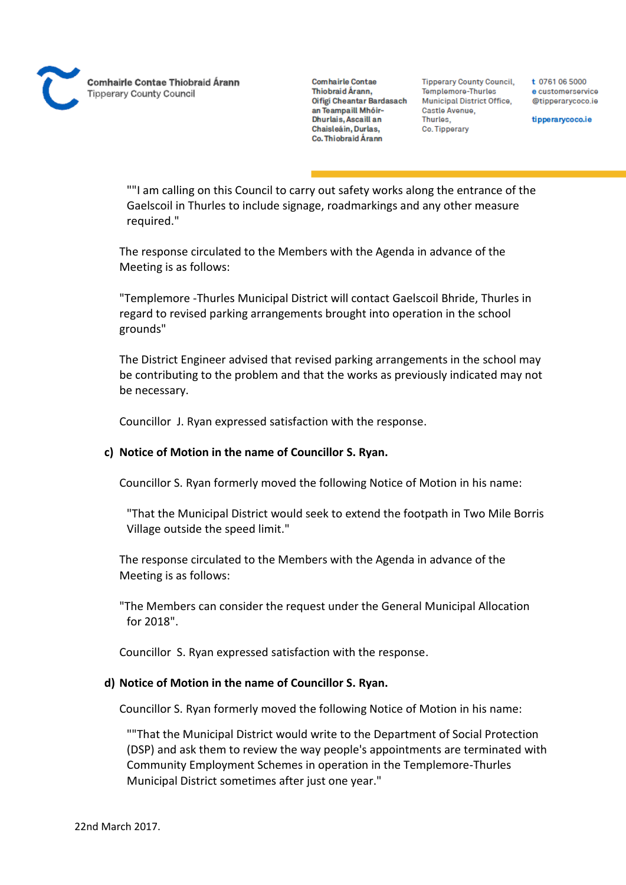**Comhairle Contae** Thiobraid Árann, Oifigi Cheantar Bardasach an Teampaill Mhóir-Dhurlais, Ascaill an Chaisleáin, Durlas, Co. Thiobraid Árann

**Tipperary County Council,** Templemore-Thurles Municipal District Office, Castle Avenue, Thurles. Co. Tipperary

t 0761 06 5000 e customerservice @tipperarycoco.ie

tipperarycoco.ie

""I am calling on this Council to carry out safety works along the entrance of the Gaelscoil in Thurles to include signage, roadmarkings and any other measure required."

The response circulated to the Members with the Agenda in advance of the Meeting is as follows:

"Templemore -Thurles Municipal District will contact Gaelscoil Bhride, Thurles in regard to revised parking arrangements brought into operation in the school grounds"

The District Engineer advised that revised parking arrangements in the school may be contributing to the problem and that the works as previously indicated may not be necessary.

Councillor J. Ryan expressed satisfaction with the response.

#### **c) Notice of Motion in the name of Councillor S. Ryan.**

Councillor S. Ryan formerly moved the following Notice of Motion in his name:

"That the Municipal District would seek to extend the footpath in Two Mile Borris Village outside the speed limit."

The response circulated to the Members with the Agenda in advance of the Meeting is as follows:

"The Members can consider the request under the General Municipal Allocation for 2018".

Councillor S. Ryan expressed satisfaction with the response.

#### **d) Notice of Motion in the name of Councillor S. Ryan.**

Councillor S. Ryan formerly moved the following Notice of Motion in his name:

""That the Municipal District would write to the Department of Social Protection (DSP) and ask them to review the way people's appointments are terminated with Community Employment Schemes in operation in the Templemore-Thurles Municipal District sometimes after just one year."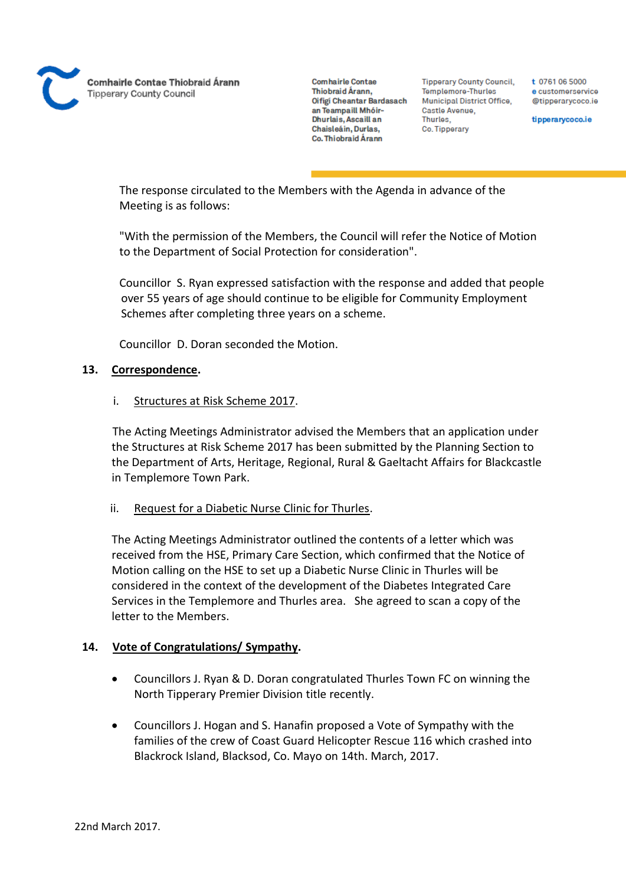

**Tipperary County Council,** Templemore-Thurles Municipal District Office, Castle Avenue, Thurles. Co. Tipperary

t 0761 06 5000 e customerservice @tipperarycoco.ie

tipperarycoco.ie

The response circulated to the Members with the Agenda in advance of the Meeting is as follows:

"With the permission of the Members, the Council will refer the Notice of Motion to the Department of Social Protection for consideration".

Councillor S. Ryan expressed satisfaction with the response and added that people over 55 years of age should continue to be eligible for Community Employment Schemes after completing three years on a scheme.

Councillor D. Doran seconded the Motion.

#### **13. Correspondence.**

#### i. Structures at Risk Scheme 2017.

The Acting Meetings Administrator advised the Members that an application under the Structures at Risk Scheme 2017 has been submitted by the Planning Section to the Department of Arts, Heritage, Regional, Rural & Gaeltacht Affairs for Blackcastle in Templemore Town Park.

#### ii. Request for a Diabetic Nurse Clinic for Thurles.

The Acting Meetings Administrator outlined the contents of a letter which was received from the HSE, Primary Care Section, which confirmed that the Notice of Motion calling on the HSE to set up a Diabetic Nurse Clinic in Thurles will be considered in the context of the development of the Diabetes Integrated Care Services in the Templemore and Thurles area. She agreed to scan a copy of the letter to the Members.

#### **14. Vote of Congratulations/ Sympathy.**

- Councillors J. Ryan & D. Doran congratulated Thurles Town FC on winning the North Tipperary Premier Division title recently.
- Councillors J. Hogan and S. Hanafin proposed a Vote of Sympathy with the families of the crew of Coast Guard Helicopter Rescue 116 which crashed into Blackrock Island, Blacksod, Co. Mayo on 14th. March, 2017.